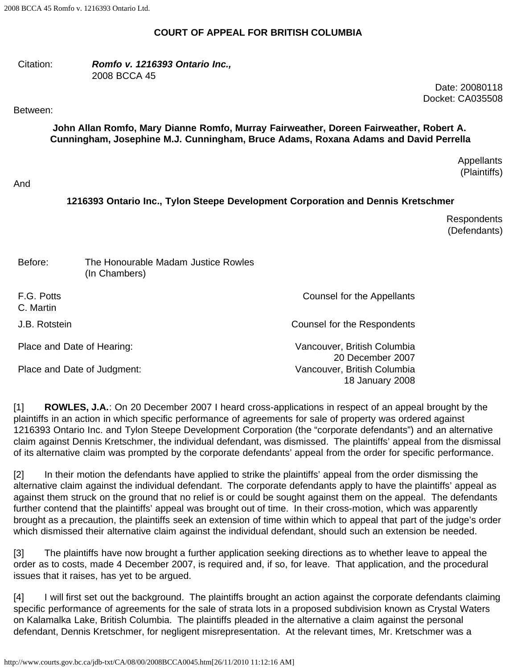### **COURT OF APPEAL FOR BRITISH COLUMBIA**

#### Citation: *Romfo v. 1216393 Ontario Inc.,* 2008 BCCA 45

Date: 20080118 Docket: CA035508

#### Between:

**John Allan Romfo, Mary Dianne Romfo, Murray Fairweather, Doreen Fairweather, Robert A. Cunningham, Josephine M.J. Cunningham, Bruce Adams, Roxana Adams and David Perrella**

> **Appellants** (Plaintiffs)

### And

## **1216393 Ontario Inc., Tylon Steepe Development Corporation and Dennis Kretschmer**

Respondents (Defendants)

| Before:                     | The Honourable Madam Justice Rowles<br>(In Chambers) |                                                 |
|-----------------------------|------------------------------------------------------|-------------------------------------------------|
| F.G. Potts<br>C. Martin     |                                                      | Counsel for the Appellants                      |
| J.B. Rotstein               |                                                      | Counsel for the Respondents                     |
| Place and Date of Hearing:  |                                                      | Vancouver, British Columbia<br>20 December 2007 |
| Place and Date of Judgment: |                                                      | Vancouver, British Columbia<br>18 January 2008  |

[1] **ROWLES, J.A.**: On 20 December 2007 I heard cross-applications in respect of an appeal brought by the plaintiffs in an action in which specific performance of agreements for sale of property was ordered against 1216393 Ontario Inc. and Tylon Steepe Development Corporation (the "corporate defendants") and an alternative claim against Dennis Kretschmer, the individual defendant, was dismissed. The plaintiffs' appeal from the dismissal of its alternative claim was prompted by the corporate defendants' appeal from the order for specific performance.

[2] In their motion the defendants have applied to strike the plaintiffs' appeal from the order dismissing the alternative claim against the individual defendant. The corporate defendants apply to have the plaintiffs' appeal as against them struck on the ground that no relief is or could be sought against them on the appeal. The defendants further contend that the plaintiffs' appeal was brought out of time. In their cross-motion, which was apparently brought as a precaution, the plaintiffs seek an extension of time within which to appeal that part of the judge's order which dismissed their alternative claim against the individual defendant, should such an extension be needed.

[3] The plaintiffs have now brought a further application seeking directions as to whether leave to appeal the order as to costs, made 4 December 2007, is required and, if so, for leave. That application, and the procedural issues that it raises, has yet to be argued.

[4] I will first set out the background. The plaintiffs brought an action against the corporate defendants claiming specific performance of agreements for the sale of strata lots in a proposed subdivision known as Crystal Waters on Kalamalka Lake, British Columbia. The plaintiffs pleaded in the alternative a claim against the personal defendant, Dennis Kretschmer, for negligent misrepresentation. At the relevant times, Mr. Kretschmer was a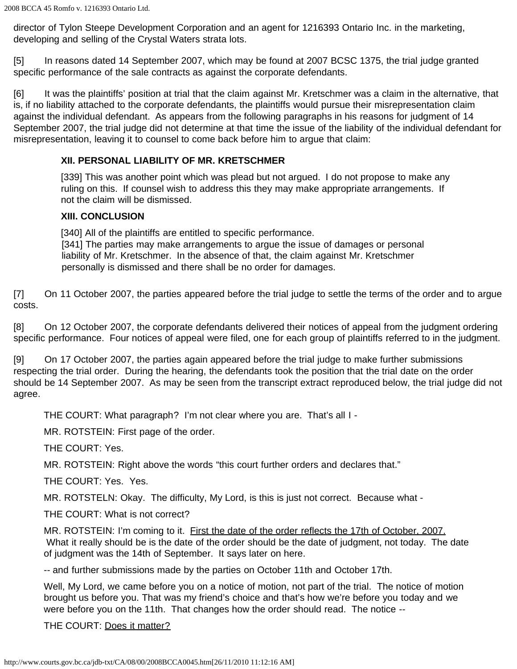director of Tylon Steepe Development Corporation and an agent for 1216393 Ontario Inc. in the marketing, developing and selling of the Crystal Waters strata lots.

[5] In reasons dated 14 September 2007, which may be found at 2007 BCSC 1375, the trial judge granted specific performance of the sale contracts as against the corporate defendants.

[6] It was the plaintiffs' position at trial that the claim against Mr. Kretschmer was a claim in the alternative, that is, if no liability attached to the corporate defendants, the plaintiffs would pursue their misrepresentation claim against the individual defendant. As appears from the following paragraphs in his reasons for judgment of 14 September 2007, the trial judge did not determine at that time the issue of the liability of the individual defendant for misrepresentation, leaving it to counsel to come back before him to argue that claim:

# **XII. PERSONAL LIABILITY OF MR. KRETSCHMER**

[339] This was another point which was plead but not argued. I do not propose to make any ruling on this. If counsel wish to address this they may make appropriate arrangements. If not the claim will be dismissed.

# **XIII. CONCLUSION**

[340] All of the plaintiffs are entitled to specific performance. [341] The parties may make arrangements to argue the issue of damages or personal liability of Mr. Kretschmer. In the absence of that, the claim against Mr. Kretschmer personally is dismissed and there shall be no order for damages.

[7] On 11 October 2007, the parties appeared before the trial judge to settle the terms of the order and to argue costs.

[8] On 12 October 2007, the corporate defendants delivered their notices of appeal from the judgment ordering specific performance. Four notices of appeal were filed, one for each group of plaintiffs referred to in the judgment.

[9] On 17 October 2007, the parties again appeared before the trial judge to make further submissions respecting the trial order. During the hearing, the defendants took the position that the trial date on the order should be 14 September 2007. As may be seen from the transcript extract reproduced below, the trial judge did not agree.

THE COURT: What paragraph? I'm not clear where you are. That's all I -

MR. ROTSTEIN: First page of the order.

THE COURT: Yes.

MR. ROTSTEIN: Right above the words "this court further orders and declares that."

THE COURT: Yes. Yes.

MR. ROTSTELN: Okay. The difficulty, My Lord, is this is just not correct. Because what -

THE COURT: What is not correct?

MR. ROTSTEIN: I'm coming to it. First the date of the order reflects the 17th of October, 2007. What it really should be is the date of the order should be the date of judgment, not today. The date of judgment was the 14th of September. It says later on here.

-- and further submissions made by the parties on October 11th and October 17th.

Well, My Lord, we came before you on a notice of motion, not part of the trial. The notice of motion brought us before you. That was my friend's choice and that's how we're before you today and we were before you on the 11th. That changes how the order should read. The notice --

THE COURT: Does it matter?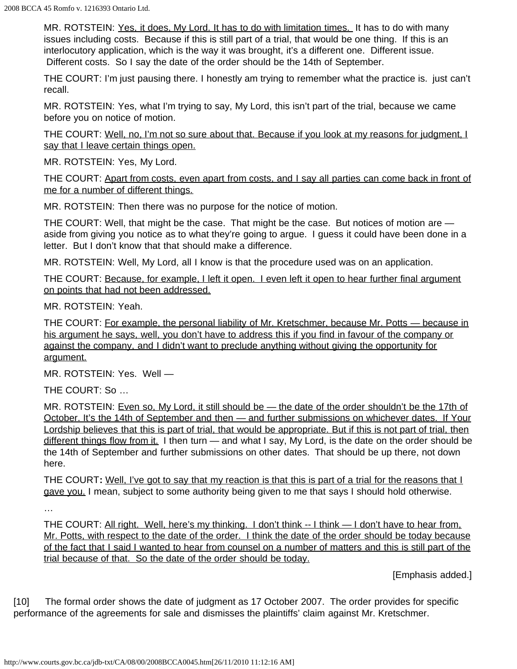MR. ROTSTEIN: Yes, it does, My Lord. It has to do with limitation times. It has to do with many issues including costs. Because if this is still part of a trial, that would be one thing. If this is an interlocutory application, which is the way it was brought, it's a different one. Different issue. Different costs. So I say the date of the order should be the 14th of September.

THE COURT: I'm just pausing there. I honestly am trying to remember what the practice is. just can't recall.

MR. ROTSTEIN: Yes, what I'm trying to say, My Lord, this isn't part of the trial, because we came before you on notice of motion.

THE COURT: Well, no, I'm not so sure about that. Because if you look at my reasons for judgment, I say that I leave certain things open.

MR. ROTSTEIN: Yes, My Lord.

THE COURT: Apart from costs, even apart from costs, and I say all parties can come back in front of me for a number of different things.

MR. ROTSTEIN: Then there was no purpose for the notice of motion.

THE COURT: Well, that might be the case. That might be the case. But notices of motion are aside from giving you notice as to what they're going to argue. I guess it could have been done in a letter. But I don't know that that should make a difference.

MR. ROTSTEIN: Well, My Lord, all I know is that the procedure used was on an application.

THE COURT: Because, for example, I left it open. I even left it open to hear further final argument on points that had not been addressed.

MR. ROTSTEIN: Yeah.

THE COURT: For example, the personal liability of Mr. Kretschmer, because Mr. Potts — because in his argument he says, well, you don't have to address this if you find in favour of the company or against the company, and I didn't want to preclude anything without giving the opportunity for argument.

MR. ROTSTEIN: Yes. Well —

THE COURT: So …

MR. ROTSTEIN: Even so, My Lord, it still should be — the date of the order shouldn't be the 17th of October. It's the 14th of September and then - and further submissions on whichever dates. If Your Lordship believes that this is part of trial, that would be appropriate. But if this is not part of trial, then different things flow from it. I then turn — and what I say, My Lord, is the date on the order should be the 14th of September and further submissions on other dates. That should be up there, not down here.

THE COURT**:** Well, I've got to say that my reaction is that this is part of a trial for the reasons that I gave you. I mean, subject to some authority being given to me that says I should hold otherwise.

…

THE COURT: All right. Well, here's my thinking. I don't think -- I think -- I don't have to hear from, Mr. Potts, with respect to the date of the order. I think the date of the order should be today because of the fact that I said I wanted to hear from counsel on a number of matters and this is still part of the trial because of that. So the date of the order should be today.

[Emphasis added.]

[10] The formal order shows the date of judgment as 17 October 2007. The order provides for specific performance of the agreements for sale and dismisses the plaintiffs' claim against Mr. Kretschmer.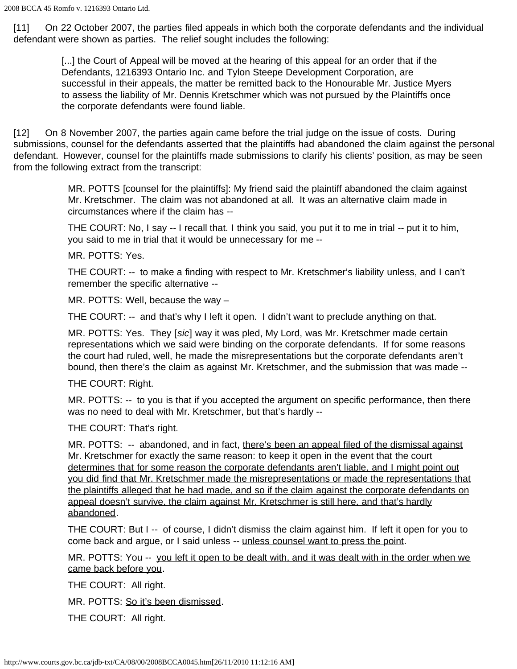[11] On 22 October 2007, the parties filed appeals in which both the corporate defendants and the individual defendant were shown as parties. The relief sought includes the following:

> [...] the Court of Appeal will be moved at the hearing of this appeal for an order that if the Defendants, 1216393 Ontario Inc. and Tylon Steepe Development Corporation, are successful in their appeals, the matter be remitted back to the Honourable Mr. Justice Myers to assess the liability of Mr. Dennis Kretschmer which was not pursued by the Plaintiffs once the corporate defendants were found liable.

[12] On 8 November 2007, the parties again came before the trial judge on the issue of costs. During submissions, counsel for the defendants asserted that the plaintiffs had abandoned the claim against the personal defendant. However, counsel for the plaintiffs made submissions to clarify his clients' position, as may be seen from the following extract from the transcript:

> MR. POTTS [counsel for the plaintiffs]: My friend said the plaintiff abandoned the claim against Mr. Kretschmer. The claim was not abandoned at all. It was an alternative claim made in circumstances where if the claim has --

THE COURT: No, I say -- I recall that. I think you said, you put it to me in trial -- put it to him, you said to me in trial that it would be unnecessary for me --

MR. POTTS: Yes.

THE COURT: -- to make a finding with respect to Mr. Kretschmer's liability unless, and I can't remember the specific alternative --

MR. POTTS: Well, because the way –

THE COURT: -- and that's why I left it open. I didn't want to preclude anything on that.

MR. POTTS: Yes. They [*sic*] way it was pled, My Lord, was Mr. Kretschmer made certain representations which we said were binding on the corporate defendants. If for some reasons the court had ruled, well, he made the misrepresentations but the corporate defendants aren't bound, then there's the claim as against Mr. Kretschmer, and the submission that was made --

THE COURT: Right.

MR. POTTS: -- to you is that if you accepted the argument on specific performance, then there was no need to deal with Mr. Kretschmer, but that's hardly --

THE COURT: That's right.

MR. POTTS: -- abandoned, and in fact, there's been an appeal filed of the dismissal against Mr. Kretschmer for exactly the same reason: to keep it open in the event that the court determines that for some reason the corporate defendants aren't liable, and I might point out you did find that Mr. Kretschmer made the misrepresentations or made the representations that the plaintiffs alleged that he had made, and so if the claim against the corporate defendants on appeal doesn't survive, the claim against Mr. Kretschmer is still here, and that's hardly abandoned.

THE COURT: But I -- of course, I didn't dismiss the claim against him. If left it open for you to come back and argue, or I said unless -- unless counsel want to press the point.

MR. POTTS: You -- you left it open to be dealt with, and it was dealt with in the order when we came back before you.

THE COURT: All right.

MR. POTTS: So it's been dismissed.

THE COURT: All right.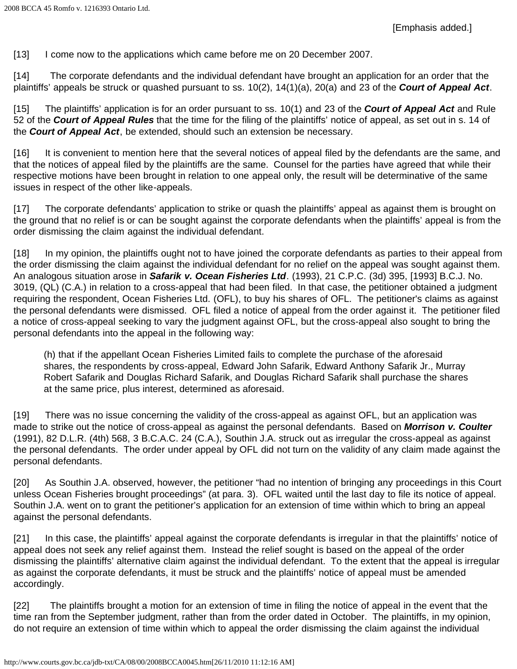[13] I come now to the applications which came before me on 20 December 2007.

[14] The corporate defendants and the individual defendant have brought an application for an order that the plaintiffs' appeals be struck or quashed pursuant to ss. 10(2), 14(1)(a), 20(a) and 23 of the *Court of Appeal Act*.

[15] The plaintiffs' application is for an order pursuant to ss. 10(1) and 23 of the *Court of Appeal Act* and Rule 52 of the *Court of Appeal Rules* that the time for the filing of the plaintiffs' notice of appeal, as set out in s. 14 of the *Court of Appeal Act*, be extended, should such an extension be necessary.

[16] It is convenient to mention here that the several notices of appeal filed by the defendants are the same, and that the notices of appeal filed by the plaintiffs are the same. Counsel for the parties have agreed that while their respective motions have been brought in relation to one appeal only, the result will be determinative of the same issues in respect of the other like-appeals.

[17] The corporate defendants' application to strike or quash the plaintiffs' appeal as against them is brought on the ground that no relief is or can be sought against the corporate defendants when the plaintiffs' appeal is from the order dismissing the claim against the individual defendant.

[18] In my opinion, the plaintiffs ought not to have joined the corporate defendants as parties to their appeal from the order dismissing the claim against the individual defendant for no relief on the appeal was sought against them. An analogous situation arose in *Safarik v. Ocean Fisheries Ltd*. (1993), 21 C.P.C. (3d) 395, [1993] B.C.J. No. 3019, (QL) (C.A.) in relation to a cross-appeal that had been filed. In that case, the petitioner obtained a judgment requiring the respondent, Ocean Fisheries Ltd. (OFL), to buy his shares of OFL. The petitioner's claims as against the personal defendants were dismissed. OFL filed a notice of appeal from the order against it. The petitioner filed a notice of cross-appeal seeking to vary the judgment against OFL, but the cross-appeal also sought to bring the personal defendants into the appeal in the following way:

(h) that if the appellant Ocean Fisheries Limited fails to complete the purchase of the aforesaid shares, the respondents by cross-appeal, Edward John Safarik, Edward Anthony Safarik Jr., Murray Robert Safarik and Douglas Richard Safarik, and Douglas Richard Safarik shall purchase the shares at the same price, plus interest, determined as aforesaid.

[19] There was no issue concerning the validity of the cross-appeal as against OFL, but an application was made to strike out the notice of cross-appeal as against the personal defendants. Based on *Morrison v. Coulter* (1991), 82 D.L.R. (4th) 568, 3 B.C.A.C. 24 (C.A.), Southin J.A. struck out as irregular the cross-appeal as against the personal defendants. The order under appeal by OFL did not turn on the validity of any claim made against the personal defendants.

[20] As Southin J.A. observed, however, the petitioner "had no intention of bringing any proceedings in this Court unless Ocean Fisheries brought proceedings" (at para. 3). OFL waited until the last day to file its notice of appeal. Southin J.A. went on to grant the petitioner's application for an extension of time within which to bring an appeal against the personal defendants.

[21] In this case, the plaintiffs' appeal against the corporate defendants is irregular in that the plaintiffs' notice of appeal does not seek any relief against them. Instead the relief sought is based on the appeal of the order dismissing the plaintiffs' alternative claim against the individual defendant. To the extent that the appeal is irregular as against the corporate defendants, it must be struck and the plaintiffs' notice of appeal must be amended accordingly.

[22] The plaintiffs brought a motion for an extension of time in filing the notice of appeal in the event that the time ran from the September judgment, rather than from the order dated in October. The plaintiffs, in my opinion, do not require an extension of time within which to appeal the order dismissing the claim against the individual